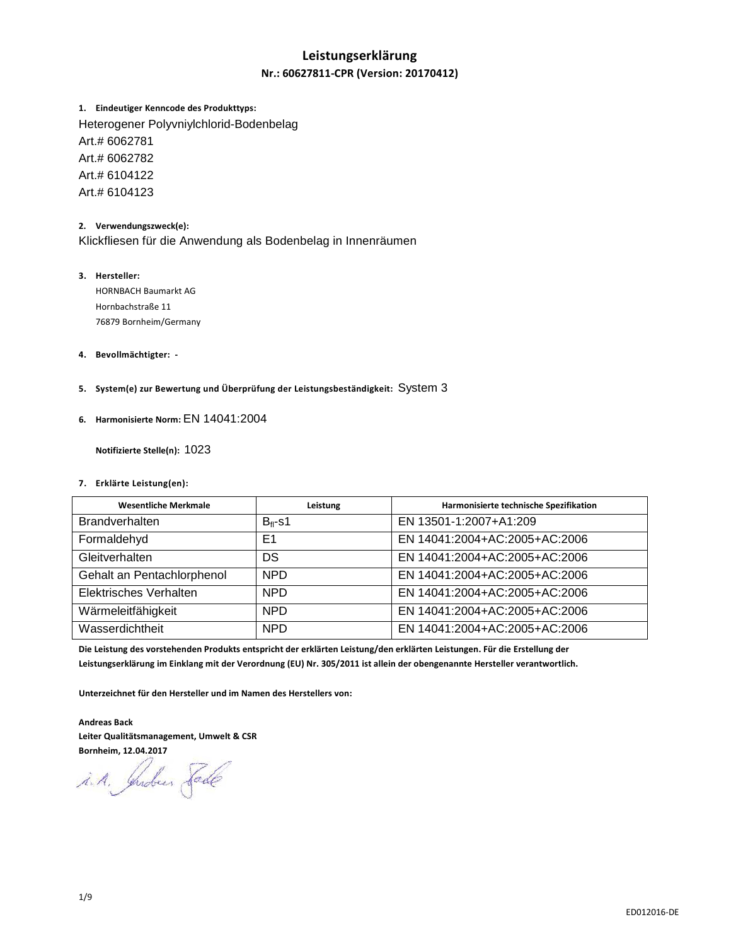### **Leistungserklärung**

### **Nr.: 60627811-CPR (Version: 20170412)**

### **1. Eindeutiger Kenncode des Produkttyps:**

Heterogener Polyvniylchlorid-Bodenbelag Art.# 6062781 Art.# 6062782 Art.# 6104122 Art.# 6104123

#### **2. Verwendungszweck(e):**

Klickfliesen für die Anwendung als Bodenbelag in Innenräumen

### **3. Hersteller:**

HORNBACH Baumarkt AG Hornbachstraße 11 76879 Bornheim/Germany

### **4. Bevollmächtigter: -**

**5. System(e) zur Bewertung und Überprüfung der Leistungsbeständigkeit:** System 3

#### **6. Harmonisierte Norm:** EN 14041:2004

 **Notifizierte Stelle(n):** 1023

#### **7. Erklärte Leistung(en):**

| <b>Wesentliche Merkmale</b> | Leistung     | Harmonisierte technische Spezifikation |
|-----------------------------|--------------|----------------------------------------|
| <b>Brandverhalten</b>       | $B_{fl}$ -s1 | EN 13501-1:2007+A1:209                 |
| Formaldehyd                 | E1           | EN 14041:2004+AC:2005+AC:2006          |
| Gleitverhalten              | DS           | EN 14041:2004+AC:2005+AC:2006          |
| Gehalt an Pentachlorphenol  | <b>NPD</b>   | EN 14041:2004+AC:2005+AC:2006          |
| Elektrisches Verhalten      | <b>NPD</b>   | EN 14041:2004+AC:2005+AC:2006          |
| Wärmeleitfähigkeit          | <b>NPD</b>   | EN 14041:2004+AC:2005+AC:2006          |
| Wasserdichtheit             | <b>NPD</b>   | EN 14041:2004+AC:2005+AC:2006          |

**Die Leistung des vorstehenden Produkts entspricht der erklärten Leistung/den erklärten Leistungen. Für die Erstellung der Leistungserklärung im Einklang mit der Verordnung (EU) Nr. 305/2011 ist allein der obengenannte Hersteller verantwortlich.** 

**Unterzeichnet für den Hersteller und im Namen des Herstellers von:** 

**Andreas Back Leiter Qualitätsmanagement, Umwelt & CSR Bornheim, 12.04.2017** 

i.A. Indees Fade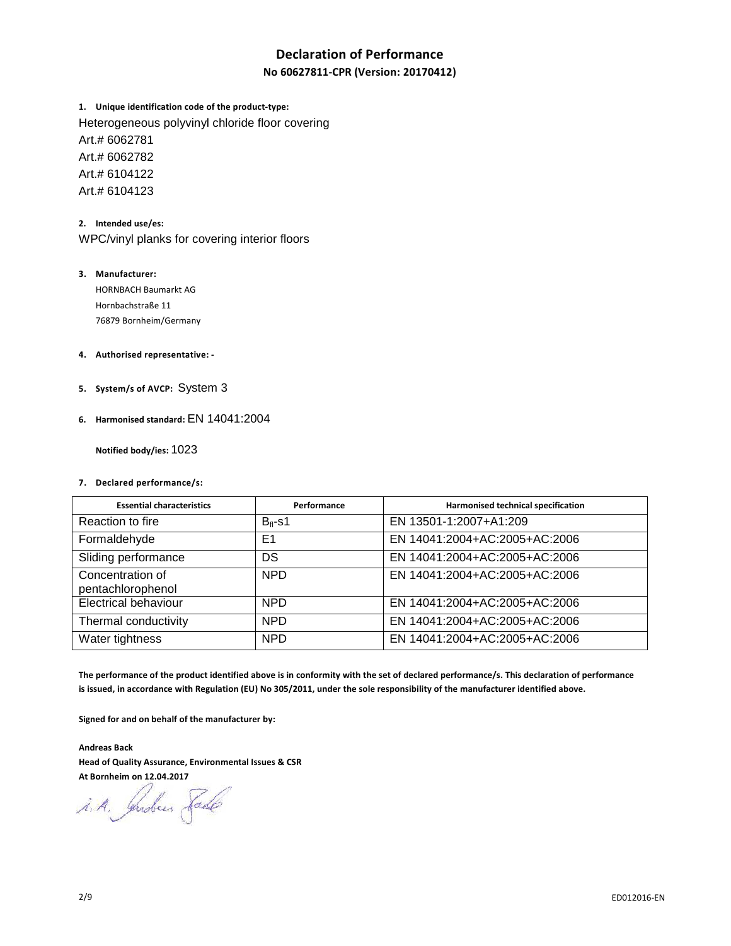### **Declaration of Performance**

**No 60627811-CPR (Version: 20170412)**

**1. Unique identification code of the product-type:** Heterogeneous polyvinyl chloride floor covering Art.# 6062781 Art.# 6062782 Art.# 6104122 Art.# 6104123

**2. Intended use/es:**  WPC/vinyl planks for covering interior floors

- **3. Manufacturer:**  HORNBACH Baumarkt AG Hornbachstraße 11 76879 Bornheim/Germany
- **4. Authorised representative:**
- **5. System/s of AVCP:** System 3
- **6. Harmonised standard:** EN 14041:2004

 **Notified body/ies:** 1023

**7. Declared performance/s:** 

| <b>Essential characteristics</b>      | Performance    | Harmonised technical specification |
|---------------------------------------|----------------|------------------------------------|
| Reaction to fire                      | $B_{fl}$ -s1   | EN 13501-1:2007+A1:209             |
| Formaldehyde                          | E <sub>1</sub> | EN 14041:2004+AC:2005+AC:2006      |
| Sliding performance                   | DS             | EN 14041:2004+AC:2005+AC:2006      |
| Concentration of<br>pentachlorophenol | <b>NPD</b>     | EN 14041:2004+AC:2005+AC:2006      |
| <b>Electrical behaviour</b>           | <b>NPD</b>     | EN 14041:2004+AC:2005+AC:2006      |
| Thermal conductivity                  | <b>NPD</b>     | EN 14041:2004+AC:2005+AC:2006      |
| Water tightness                       | <b>NPD</b>     | EN 14041:2004+AC:2005+AC:2006      |

**The performance of the product identified above is in conformity with the set of declared performance/s. This declaration of performance is issued, in accordance with Regulation (EU) No 305/2011, under the sole responsibility of the manufacturer identified above.** 

**Signed for and on behalf of the manufacturer by:** 

**Andreas Back Head of Quality Assurance, Environmental Issues & CSR At Bornheim on 12.04.2017** 

i.A. Indees Fade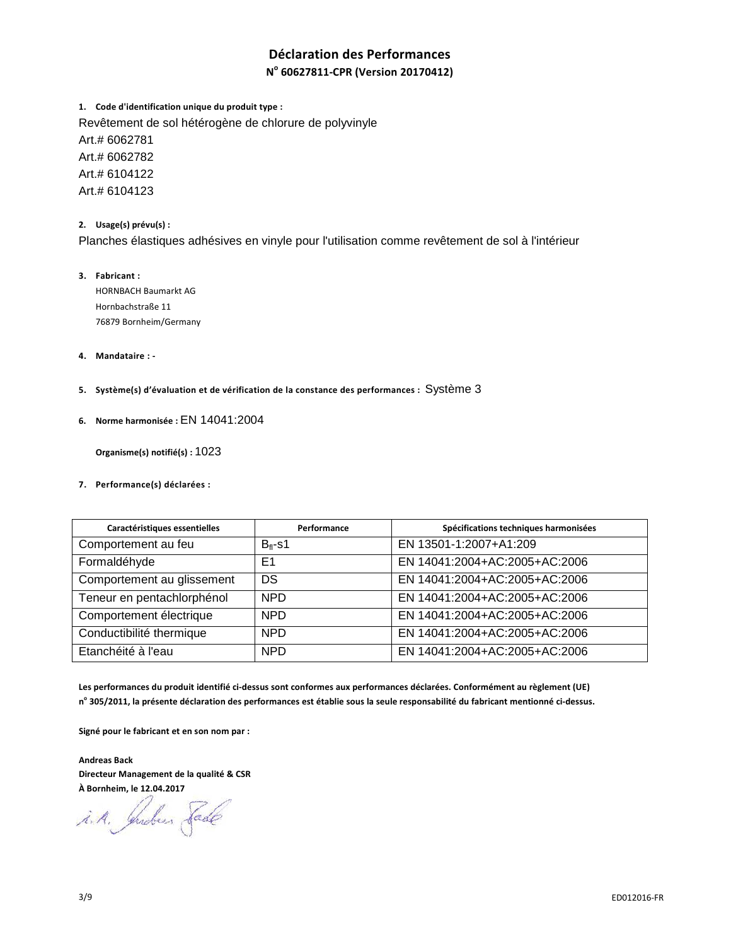### **Déclaration des Performances**

### **N o 60627811-CPR (Version 20170412)**

**1. Code d'identification unique du produit type :** Revêtement de sol hétérogène de chlorure de polyvinyle Art.# 6062781 Art.# 6062782 Art.# 6104122 Art.# 6104123

**2. Usage(s) prévu(s) :** 

Planches élastiques adhésives en vinyle pour l'utilisation comme revêtement de sol à l'intérieur

- **3. Fabricant :**  HORNBACH Baumarkt AG Hornbachstraße 11 76879 Bornheim/Germany
- **4. Mandataire :**
- **5. Système(s) d'évaluation et de vérification de la constance des performances :** Système 3
- **6. Norme harmonisée :** EN 14041:2004

 **Organisme(s) notifié(s) :** 1023

**7. Performance(s) déclarées :** 

| Caractéristiques essentielles | Performance  | Spécifications techniques harmonisées |
|-------------------------------|--------------|---------------------------------------|
| Comportement au feu           | $B_{fl}$ -s1 | EN 13501-1:2007+A1:209                |
| Formaldéhyde                  | E1           | EN 14041:2004+AC:2005+AC:2006         |
| Comportement au glissement    | DS           | EN 14041:2004+AC:2005+AC:2006         |
| Teneur en pentachlorphénol    | <b>NPD</b>   | EN 14041:2004+AC:2005+AC:2006         |
| Comportement électrique       | <b>NPD</b>   | EN 14041:2004+AC:2005+AC:2006         |
| Conductibilité thermique      | <b>NPD</b>   | EN 14041:2004+AC:2005+AC:2006         |
| Etanchéité à l'eau            | <b>NPD</b>   | EN 14041:2004+AC:2005+AC:2006         |

**Les performances du produit identifié ci-dessus sont conformes aux performances déclarées. Conformément au règlement (UE) n o 305/2011, la présente déclaration des performances est établie sous la seule responsabilité du fabricant mentionné ci-dessus.** 

**Signé pour le fabricant et en son nom par :** 

**Andreas Back Directeur Management de la qualité & CSR À Bornheim, le 12.04.2017** 

i.A. Indus Lade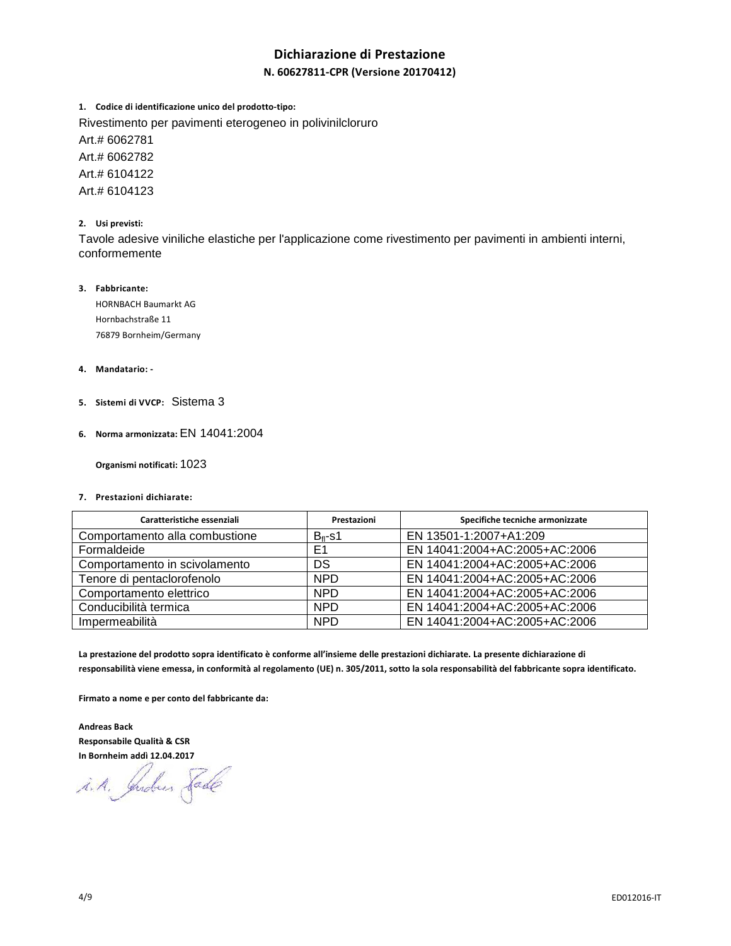### **Dichiarazione di Prestazione**

### **N. 60627811-CPR (Versione 20170412)**

**1. Codice di identificazione unico del prodotto-tipo:**

Rivestimento per pavimenti eterogeneo in polivinilcloruro

Art.# 6062781

Art.# 6062782 Art.# 6104122

Art.# 6104123

### **2. Usi previsti:**

Tavole adesive viniliche elastiche per l'applicazione come rivestimento per pavimenti in ambienti interni, conformemente

### **3. Fabbricante:**

HORNBACH Baumarkt AG Hornbachstraße 11 76879 Bornheim/Germany

### **4. Mandatario: -**

- **5. Sistemi di VVCP:** Sistema 3
- **6. Norma armonizzata:** EN 14041:2004

 **Organismi notificati:** 1023

**7. Prestazioni dichiarate:** 

| Caratteristiche essenziali     | Prestazioni      | Specifiche tecniche armonizzate |
|--------------------------------|------------------|---------------------------------|
| Comportamento alla combustione | $B_{\rm fl}$ -s1 | EN 13501-1:2007+A1:209          |
| Formaldeide                    | E <sub>1</sub>   | EN 14041:2004+AC:2005+AC:2006   |
| Comportamento in scivolamento  | DS               | EN 14041:2004+AC:2005+AC:2006   |
| Tenore di pentaclorofenolo     | <b>NPD</b>       | EN 14041:2004+AC:2005+AC:2006   |
| Comportamento elettrico        | <b>NPD</b>       | EN 14041:2004+AC:2005+AC:2006   |
| Conducibilità termica          | <b>NPD</b>       | EN 14041:2004+AC:2005+AC:2006   |
| Impermeabilità                 | <b>NPD</b>       | EN 14041:2004+AC:2005+AC:2006   |

**La prestazione del prodotto sopra identificato è conforme all'insieme delle prestazioni dichiarate. La presente dichiarazione di responsabilità viene emessa, in conformità al regolamento (UE) n. 305/2011, sotto la sola responsabilità del fabbricante sopra identificato.** 

**Firmato a nome e per conto del fabbricante da:** 

**Andreas Back Responsabile Qualità & CSR In Bornheim addì 12.04.2017**

i.A. Indeer Fade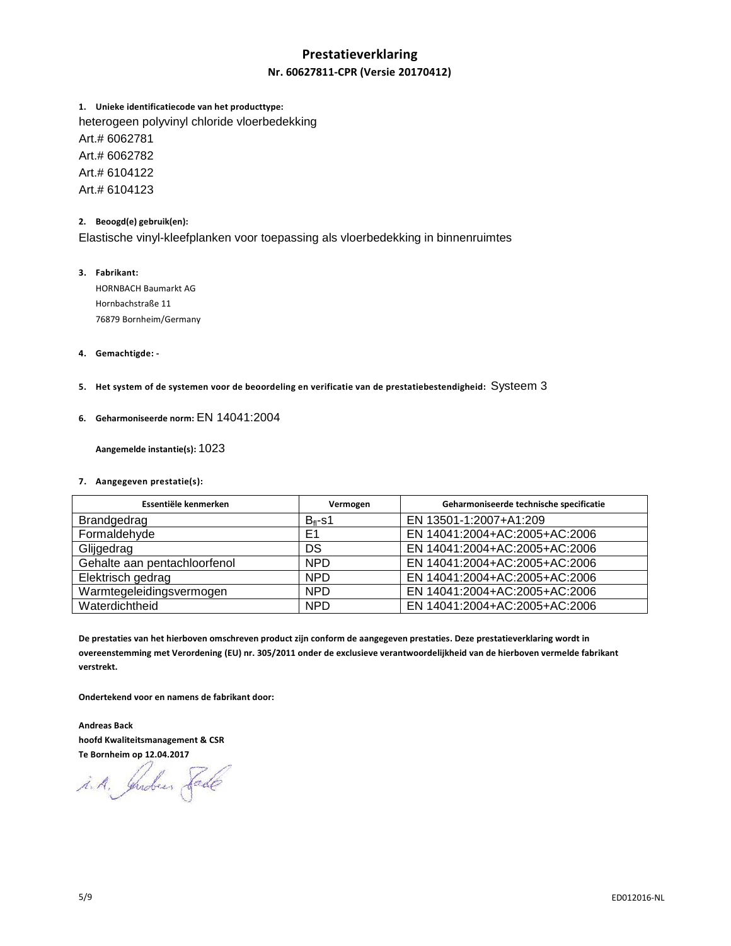# **Prestatieverklaring**

### **Nr. 60627811-CPR (Versie 20170412)**

**1. Unieke identificatiecode van het producttype:** heterogeen polyvinyl chloride vloerbedekking Art.# 6062781 Art.# 6062782 Art.# 6104122 Art.# 6104123

### **2. Beoogd(e) gebruik(en):**

Elastische vinyl-kleefplanken voor toepassing als vloerbedekking in binnenruimtes

### **3. Fabrikant:**

HORNBACH Baumarkt AG Hornbachstraße 11 76879 Bornheim/Germany

### **4. Gemachtigde: -**

**5. Het system of de systemen voor de beoordeling en verificatie van de prestatiebestendigheid:** Systeem 3

### **6. Geharmoniseerde norm:** EN 14041:2004

 **Aangemelde instantie(s):** 1023

#### **7. Aangegeven prestatie(s):**

| Essentiële kenmerken         | Vermogen         | Geharmoniseerde technische specificatie |
|------------------------------|------------------|-----------------------------------------|
| Brandgedrag                  | $B_{\rm fl}$ -s1 | EN 13501-1:2007+A1:209                  |
| Formaldehyde                 | E <sub>1</sub>   | EN 14041:2004+AC:2005+AC:2006           |
| Glijgedrag                   | DS               | EN 14041:2004+AC:2005+AC:2006           |
| Gehalte aan pentachloorfenol | <b>NPD</b>       | EN 14041:2004+AC:2005+AC:2006           |
| Elektrisch gedrag            | <b>NPD</b>       | EN 14041:2004+AC:2005+AC:2006           |
| Warmtegeleidingsvermogen     | <b>NPD</b>       | EN 14041:2004+AC:2005+AC:2006           |
| Waterdichtheid               | <b>NPD</b>       | EN 14041:2004+AC:2005+AC:2006           |

**De prestaties van het hierboven omschreven product zijn conform de aangegeven prestaties. Deze prestatieverklaring wordt in overeenstemming met Verordening (EU) nr. 305/2011 onder de exclusieve verantwoordelijkheid van de hierboven vermelde fabrikant verstrekt.** 

**Ondertekend voor en namens de fabrikant door:** 

**Andreas Back hoofd Kwaliteitsmanagement & CSR Te Bornheim op 12.04.2017** 

i.A. Indees Fade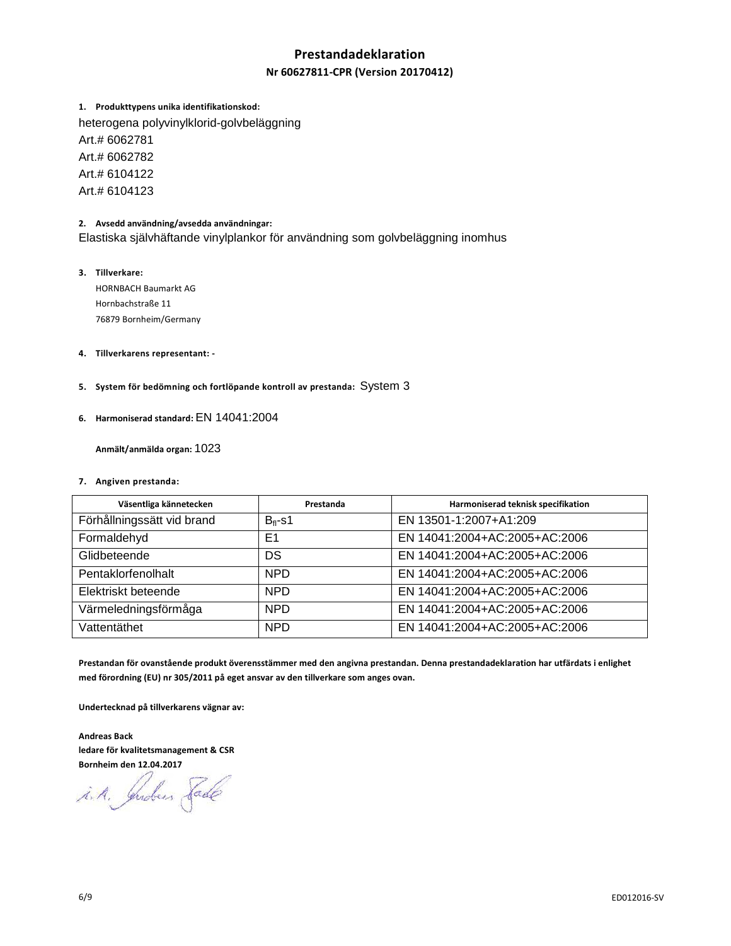### **Prestandadeklaration**

### **Nr 60627811-CPR (Version 20170412)**

**1. Produkttypens unika identifikationskod:** 

heterogena polyvinylklorid-golvbeläggning Art.# 6062781 Art.# 6062782 Art.# 6104122 Art.# 6104123

### **2. Avsedd användning/avsedda användningar:**

Elastiska självhäftande vinylplankor för användning som golvbeläggning inomhus

### **3. Tillverkare:**

HORNBACH Baumarkt AG Hornbachstraße 11 76879 Bornheim/Germany

- **4. Tillverkarens representant:**
- **5. System för bedömning och fortlöpande kontroll av prestanda:** System 3
- **6. Harmoniserad standard:** EN 14041:2004

 **Anmält/anmälda organ:** 1023

#### **7. Angiven prestanda:**

| Väsentliga kännetecken     | Prestanda      | Harmoniserad teknisk specifikation |
|----------------------------|----------------|------------------------------------|
| Förhållningssätt vid brand | $B_{fl}$ -s1   | EN 13501-1:2007+A1:209             |
| Formaldehyd                | E <sub>1</sub> | EN 14041:2004+AC:2005+AC:2006      |
| Glidbeteende               | DS             | EN 14041:2004+AC:2005+AC:2006      |
| Pentaklorfenolhalt         | <b>NPD</b>     | EN 14041:2004+AC:2005+AC:2006      |
| Elektriskt beteende        | <b>NPD</b>     | EN 14041:2004+AC:2005+AC:2006      |
| Värmeledningsförmåga       | <b>NPD</b>     | EN 14041:2004+AC:2005+AC:2006      |
| Vattentäthet               | <b>NPD</b>     | EN 14041:2004+AC:2005+AC:2006      |

**Prestandan för ovanstående produkt överensstämmer med den angivna prestandan. Denna prestandadeklaration har utfärdats i enlighet med förordning (EU) nr 305/2011 på eget ansvar av den tillverkare som anges ovan.** 

**Undertecknad på tillverkarens vägnar av:** 

**Andreas Back ledare för kvalitetsmanagement & CSR Bornheim den 12.04.2017** 

i.A. Indees Sade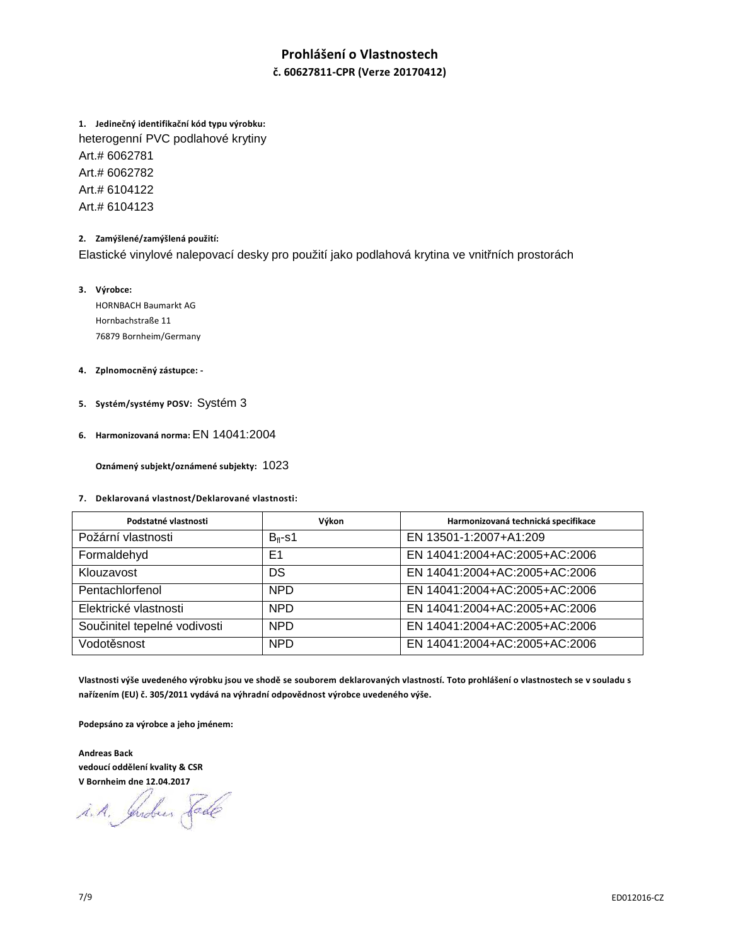## **Prohlášení o Vlastnostech**

**č. 60627811-CPR (Verze 20170412)** 

**1. Jedinečný identifikační kód typu výrobku:** heterogenní PVC podlahové krytiny Art.# 6062781 Art.# 6062782 Art.# 6104122 Art.# 6104123

### **2. Zamýšlené/zamýšlená použití:**

Elastické vinylové nalepovací desky pro použití jako podlahová krytina ve vnitřních prostorách

#### **3. Výrobce:**

HORNBACH Baumarkt AG Hornbachstraße 11 76879 Bornheim/Germany

#### **4. Zplnomocněný zástupce: -**

- **5. Systém/systémy POSV:** Systém 3
- **6. Harmonizovaná norma:** EN 14041:2004

 **Oznámený subjekt/oznámené subjekty:** 1023

### **7. Deklarovaná vlastnost/Deklarované vlastnosti:**

| Podstatné vlastnosti         | Výkon          | Harmonizovaná technická specifikace |
|------------------------------|----------------|-------------------------------------|
| Požární vlastnosti           | $B_{fl}$ -s1   | EN 13501-1:2007+A1:209              |
| Formaldehyd                  | E <sub>1</sub> | EN 14041:2004+AC:2005+AC:2006       |
| Klouzavost                   | DS             | EN 14041:2004+AC:2005+AC:2006       |
| Pentachlorfenol              | <b>NPD</b>     | EN 14041:2004+AC:2005+AC:2006       |
| Elektrické vlastnosti        | <b>NPD</b>     | EN 14041:2004+AC:2005+AC:2006       |
| Součinitel tepelné vodivosti | <b>NPD</b>     | EN 14041:2004+AC:2005+AC:2006       |
| Vodotěsnost                  | <b>NPD</b>     | EN 14041:2004+AC:2005+AC:2006       |

**Vlastnosti výše uvedeného výrobku jsou ve shodě se souborem deklarovaných vlastností. Toto prohlášení o vlastnostech se v souladu s nařízením (EU) č. 305/2011 vydává na výhradní odpovědnost výrobce uvedeného výše.** 

**Podepsáno za výrobce a jeho jménem:** 

**Andreas Back vedoucí oddělení kvality & CSR V Bornheim dne 12.04.2017** 

i.A. Indees Sade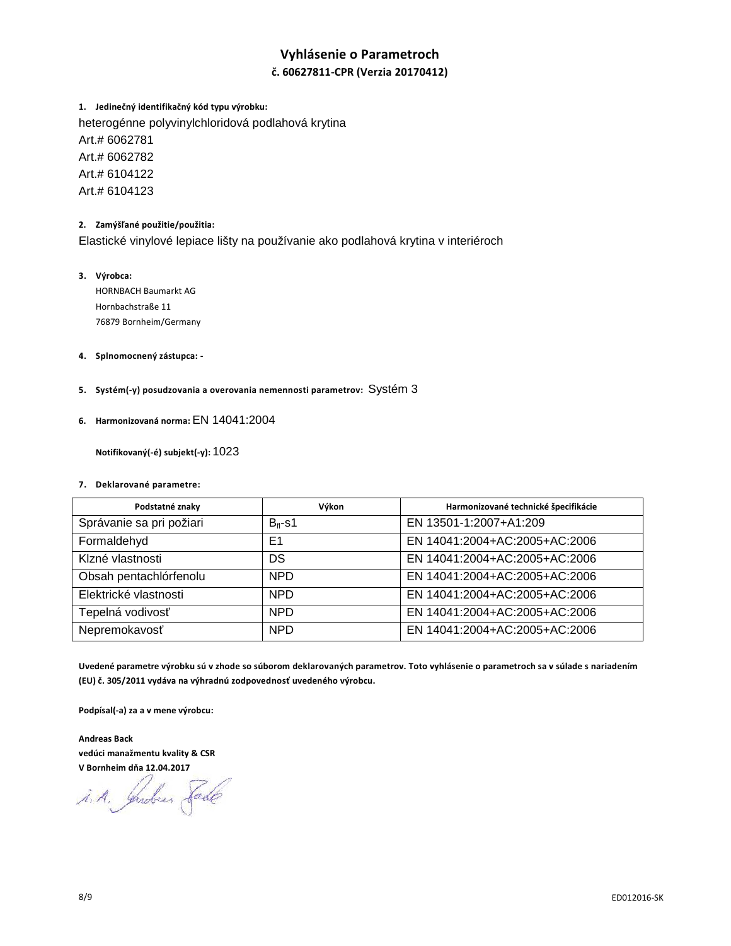### **Vyhlásenie o Parametroch**

### **č. 60627811-CPR (Verzia 20170412)**

**1. Jedinečný identifikačný kód typu výrobku:**  heterogénne polyvinylchloridová podlahová krytina Art.# 6062781 Art.# 6062782 Art.# 6104122 Art.# 6104123

### **2. Zamýšľané použitie/použitia:**

Elastické vinylové lepiace lišty na používanie ako podlahová krytina v interiéroch

- **3. Výrobca:**  HORNBACH Baumarkt AG Hornbachstraße 11 76879 Bornheim/Germany
- **4. Splnomocnený zástupca:**
- **5. Systém(-y) posudzovania a overovania nemennosti parametrov:** Systém 3
- **6. Harmonizovaná norma:** EN 14041:2004

 **Notifikovaný(-é) subjekt(-y):** 1023

#### **7. Deklarované parametre:**

| Podstatné znaky          | Výkon          | Harmonizované technické špecifikácie |
|--------------------------|----------------|--------------------------------------|
| Správanie sa pri požiari | $B_{fl}$ -s1   | EN 13501-1:2007+A1:209               |
| Formaldehyd              | E <sub>1</sub> | EN 14041:2004+AC:2005+AC:2006        |
| Klzné vlastnosti         | DS             | EN 14041:2004+AC:2005+AC:2006        |
| Obsah pentachlórfenolu   | <b>NPD</b>     | EN 14041:2004+AC:2005+AC:2006        |
| Elektrické vlastnosti    | <b>NPD</b>     | EN 14041:2004+AC:2005+AC:2006        |
| Tepelná vodivosť         | <b>NPD</b>     | EN 14041:2004+AC:2005+AC:2006        |
| Nepremokavosť            | <b>NPD</b>     | EN 14041:2004+AC:2005+AC:2006        |

**Uvedené parametre výrobku sú v zhode so súborom deklarovaných parametrov. Toto vyhlásenie o parametroch sa v súlade s nariadením (EU) č. 305/2011 vydáva na výhradnú zodpovednosť uvedeného výrobcu.** 

**Podpísal(-a) za a v mene výrobcu:** 

**Andreas Back vedúci manažmentu kvality & CSR V Bornheim dňa 12.04.2017** 

i.A. Inder Fade